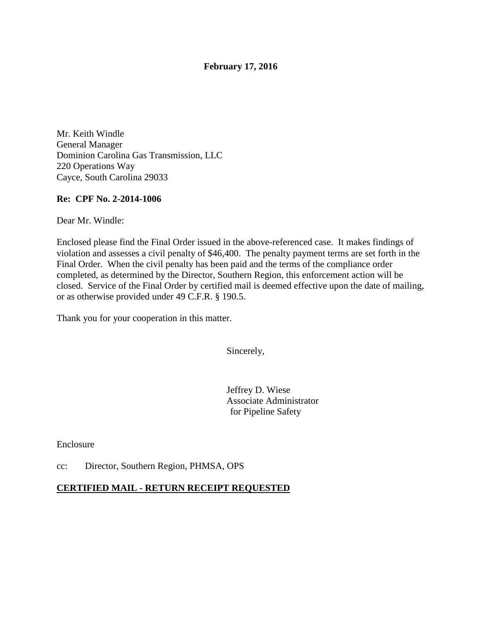## **February 17, 2016**

Mr. Keith Windle General Manager Dominion Carolina Gas Transmission, LLC 220 Operations Way Cayce, South Carolina 29033

#### **Re: CPF No. 2-2014-1006**

Dear Mr. Windle:

Enclosed please find the Final Order issued in the above-referenced case. It makes findings of violation and assesses a civil penalty of \$46,400. The penalty payment terms are set forth in the Final Order. When the civil penalty has been paid and the terms of the compliance order completed, as determined by the Director, Southern Region, this enforcement action will be closed. Service of the Final Order by certified mail is deemed effective upon the date of mailing, or as otherwise provided under 49 C.F.R. § 190.5.

Thank you for your cooperation in this matter.

Sincerely,

Jeffrey D. Wiese Associate Administrator for Pipeline Safety

Enclosure

cc: Director, Southern Region, PHMSA, OPS

### **CERTIFIED MAIL - RETURN RECEIPT REQUESTED**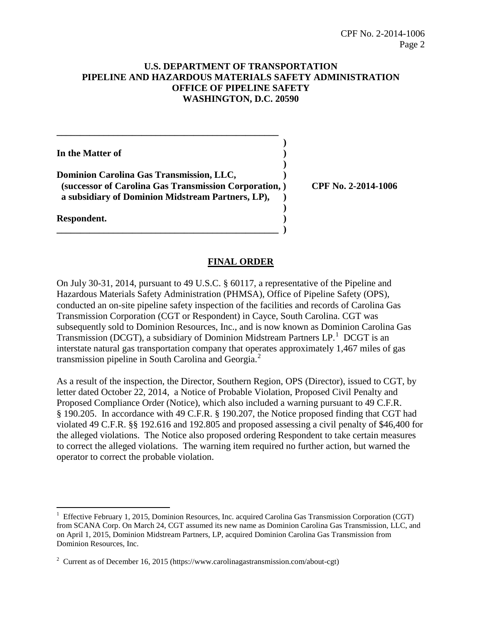## **U.S. DEPARTMENT OF TRANSPORTATION PIPELINE AND HAZARDOUS MATERIALS SAFETY ADMINISTRATION OFFICE OF PIPELINE SAFETY WASHINGTON, D.C. 20590**

| In the Matter of                                      |                     |
|-------------------------------------------------------|---------------------|
|                                                       |                     |
| <b>Dominion Carolina Gas Transmission, LLC,</b>       |                     |
| (successor of Carolina Gas Transmission Corporation,) | CPF No. 2-2014-1006 |
| a subsidiary of Dominion Midstream Partners, LP),     |                     |
|                                                       |                     |
| Respondent.                                           |                     |
|                                                       |                     |

## **FINAL ORDER**

On July 30-31, 2014, pursuant to 49 U.S.C. § 60117, a representative of the Pipeline and Hazardous Materials Safety Administration (PHMSA), Office of Pipeline Safety (OPS), conducted an on-site pipeline safety inspection of the facilities and records of Carolina Gas Transmission Corporation (CGT or Respondent) in Cayce, South Carolina. CGT was subsequently sold to Dominion Resources, Inc., and is now known as Dominion Carolina Gas Transmission (DCGT), a subsidiary of Dominion Midstream Partners  $LP<sup>1</sup>$  DCGT is an interstate natural gas transportation company that operates approximately 1,467 miles of gas transmission pipeline in South Carolina and Georgia.<sup>2</sup>

As a result of the inspection, the Director, Southern Region, OPS (Director), issued to CGT, by letter dated October 22, 2014, a Notice of Probable Violation, Proposed Civil Penalty and Proposed Compliance Order (Notice), which also included a warning pursuant to 49 C.F.R. § 190.205. In accordance with 49 C.F.R. § 190.207, the Notice proposed finding that CGT had violated 49 C.F.R. §§ 192.616 and 192.805 and proposed assessing a civil penalty of \$46,400 for the alleged violations. The Notice also proposed ordering Respondent to take certain measures to correct the alleged violations. The warning item required no further action, but warned the operator to correct the probable violation.

 $\overline{a}$ 

<sup>&</sup>lt;sup>1</sup> Effective February 1, 2015, Dominion Resources, Inc. acquired Carolina Gas Transmission Corporation (CGT) from SCANA Corp. On March 24, CGT assumed its new name as Dominion Carolina Gas Transmission, LLC, and on April 1, 2015, Dominion Midstream Partners, LP, acquired Dominion Carolina Gas Transmission from Dominion Resources, Inc.

<sup>&</sup>lt;sup>2</sup> Current as of December 16, 2015 (https://www.carolinagastransmission.com/about-cgt)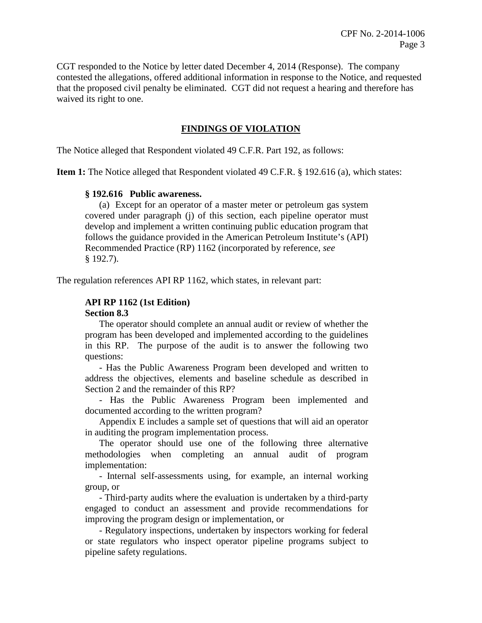CGT responded to the Notice by letter dated December 4, 2014 (Response). The company contested the allegations, offered additional information in response to the Notice, and requested that the proposed civil penalty be eliminated. CGT did not request a hearing and therefore has waived its right to one.

## **FINDINGS OF VIOLATION**

The Notice alleged that Respondent violated 49 C.F.R. Part 192, as follows:

**Item 1:** The Notice alleged that Respondent violated 49 C.F.R. § 192.616 (a), which states:

#### **§ 192.616 Public awareness.**

(a) Except for an operator of a master meter or petroleum gas system covered under paragraph (j) of this section, each pipeline operator must develop and implement a written continuing public education program that follows the guidance provided in the American Petroleum Institute's (API) Recommended Practice (RP) 1162 (incorporated by reference, *see* § 192.7).

The regulation references API RP 1162, which states, in relevant part:

#### **API RP 1162 (1st Edition)**

#### **Section 8.3**

The operator should complete an annual audit or review of whether the program has been developed and implemented according to the guidelines in this RP. The purpose of the audit is to answer the following two questions:

- Has the Public Awareness Program been developed and written to address the objectives, elements and baseline schedule as described in Section 2 and the remainder of this RP?

- Has the Public Awareness Program been implemented and documented according to the written program?

Appendix E includes a sample set of questions that will aid an operator in auditing the program implementation process.

The operator should use one of the following three alternative methodologies when completing an annual audit of program implementation:

- Internal self-assessments using, for example, an internal working group, or

- Third-party audits where the evaluation is undertaken by a third-party engaged to conduct an assessment and provide recommendations for improving the program design or implementation, or

- Regulatory inspections, undertaken by inspectors working for federal or state regulators who inspect operator pipeline programs subject to pipeline safety regulations.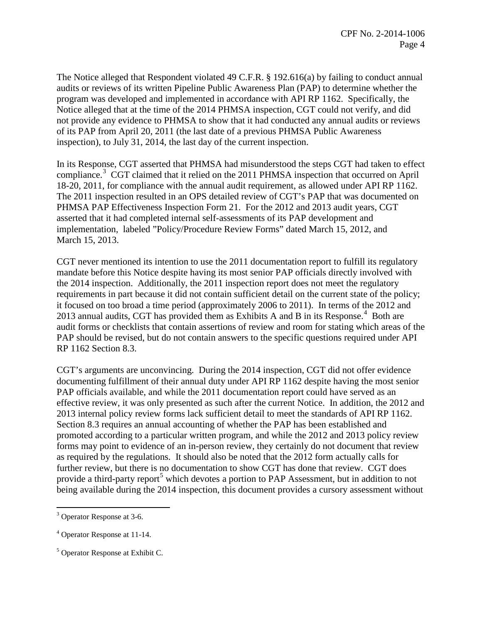The Notice alleged that Respondent violated 49 C.F.R. § 192.616(a) by failing to conduct annual audits or reviews of its written Pipeline Public Awareness Plan (PAP) to determine whether the program was developed and implemented in accordance with API RP 1162. Specifically, the Notice alleged that at the time of the 2014 PHMSA inspection, CGT could not verify, and did not provide any evidence to PHMSA to show that it had conducted any annual audits or reviews of its PAP from April 20, 2011 (the last date of a previous PHMSA Public Awareness inspection), to July 31, 2014, the last day of the current inspection.

In its Response, CGT asserted that PHMSA had misunderstood the steps CGT had taken to effect compliance.<sup>3</sup> CGT claimed that it relied on the 2011 PHMSA inspection that occurred on April 18-20, 2011, for compliance with the annual audit requirement, as allowed under API RP 1162. The 2011 inspection resulted in an OPS detailed review of CGT's PAP that was documented on PHMSA PAP Effectiveness Inspection Form 21. For the 2012 and 2013 audit years, CGT asserted that it had completed internal self-assessments of its PAP development and implementation, labeled "Policy/Procedure Review Forms" dated March 15, 2012, and March 15, 2013.

CGT never mentioned its intention to use the 2011 documentation report to fulfill its regulatory mandate before this Notice despite having its most senior PAP officials directly involved with the 2014 inspection. Additionally, the 2011 inspection report does not meet the regulatory requirements in part because it did not contain sufficient detail on the current state of the policy; it focused on too broad a time period (approximately 2006 to 2011). In terms of the 2012 and 2013 annual audits, CGT has provided them as Exhibits A and B in its Response.<sup>4</sup> Both are audit forms or checklists that contain assertions of review and room for stating which areas of the PAP should be revised, but do not contain answers to the specific questions required under API RP 1162 Section 8.3.

CGT's arguments are unconvincing. During the 2014 inspection, CGT did not offer evidence documenting fulfillment of their annual duty under API RP 1162 despite having the most senior PAP officials available, and while the 2011 documentation report could have served as an effective review, it was only presented as such after the current Notice. In addition, the 2012 and 2013 internal policy review forms lack sufficient detail to meet the standards of API RP 1162. Section 8.3 requires an annual accounting of whether the PAP has been established and promoted according to a particular written program, and while the 2012 and 2013 policy review forms may point to evidence of an in-person review, they certainly do not document that review as required by the regulations. It should also be noted that the 2012 form actually calls for further review, but there is no documentation to show CGT has done that review. CGT does provide a third-party report<sup>5</sup> which devotes a portion to PAP Assessment, but in addition to not being available during the 2014 inspection, this document provides a cursory assessment without

 $\overline{a}$ 

<sup>&</sup>lt;sup>3</sup> Operator Response at 3-6.

<sup>4</sup> Operator Response at 11-14.

<sup>5</sup> Operator Response at Exhibit C.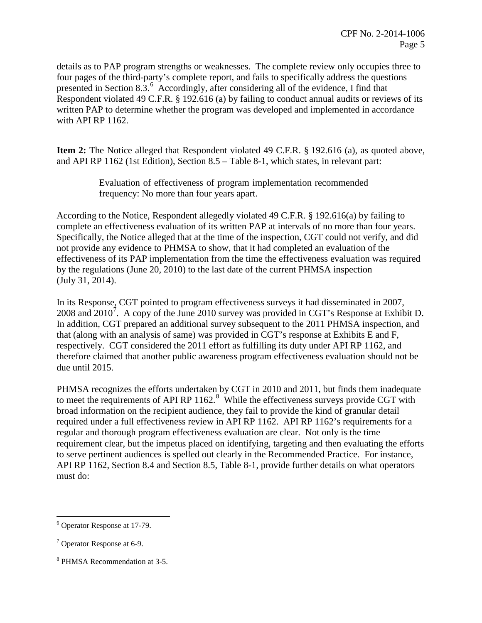details as to PAP program strengths or weaknesses. The complete review only occupies three to four pages of the third-party's complete report, and fails to specifically address the questions presented in Section 8.3.<sup>6</sup> Accordingly, after considering all of the evidence, I find that Respondent violated 49 C.F.R. § 192.616 (a) by failing to conduct annual audits or reviews of its written PAP to determine whether the program was developed and implemented in accordance with API RP 1162.

**Item 2:** The Notice alleged that Respondent violated 49 C.F.R. § 192.616 (a), as quoted above, and API RP 1162 (1st Edition), Section 8.5 – Table 8-1, which states, in relevant part:

> Evaluation of effectiveness of program implementation recommended frequency: No more than four years apart.

According to the Notice, Respondent allegedly violated 49 C.F.R. § 192.616(a) by failing to complete an effectiveness evaluation of its written PAP at intervals of no more than four years. Specifically, the Notice alleged that at the time of the inspection, CGT could not verify, and did not provide any evidence to PHMSA to show, that it had completed an evaluation of the effectiveness of its PAP implementation from the time the effectiveness evaluation was required by the regulations (June 20, 2010) to the last date of the current PHMSA inspection (July 31, 2014).

In its Response, CGT pointed to program effectiveness surveys it had disseminated in 2007, 2008 and  $2010^7$ . A copy of the June 2010 survey was provided in CGT's Response at Exhibit D. In addition, CGT prepared an additional survey subsequent to the 2011 PHMSA inspection, and that (along with an analysis of same) was provided in CGT's response at Exhibits E and F, respectively. CGT considered the 2011 effort as fulfilling its duty under API RP 1162, and therefore claimed that another public awareness program effectiveness evaluation should not be due until 2015.

PHMSA recognizes the efforts undertaken by CGT in 2010 and 2011, but finds them inadequate to meet the requirements of API RP  $1162$ .<sup>8</sup> While the effectiveness surveys provide CGT with broad information on the recipient audience, they fail to provide the kind of granular detail required under a full effectiveness review in API RP 1162. API RP 1162's requirements for a regular and thorough program effectiveness evaluation are clear. Not only is the time requirement clear, but the impetus placed on identifying, targeting and then evaluating the efforts to serve pertinent audiences is spelled out clearly in the Recommended Practice. For instance, API RP 1162, Section 8.4 and Section 8.5, Table 8-1, provide further details on what operators must do:

 $\overline{a}$ <sup>6</sup> Operator Response at 17-79.

<sup>7</sup> Operator Response at 6-9.

<sup>8</sup> PHMSA Recommendation at 3-5.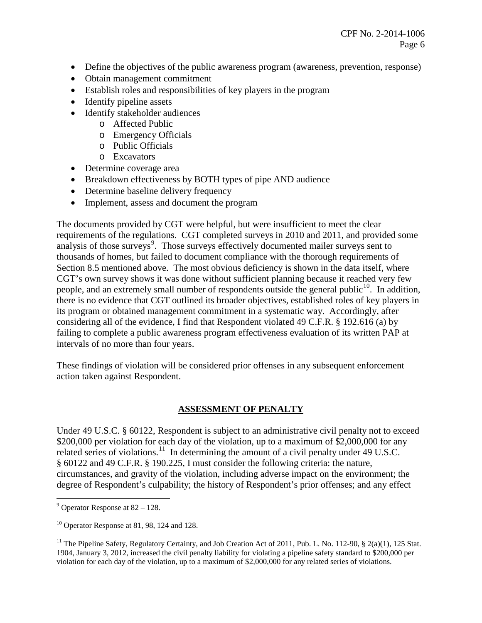- Define the objectives of the public awareness program (awareness, prevention, response)
- Obtain management commitment
- Establish roles and responsibilities of key players in the program
- Identify pipeline assets
- Identify stakeholder audiences
	- o Affected Public
	- o Emergency Officials
	- o Public Officials
	- o Excavators
- Determine coverage area
- Breakdown effectiveness by BOTH types of pipe AND audience
- Determine baseline delivery frequency
- Implement, assess and document the program

The documents provided by CGT were helpful, but were insufficient to meet the clear requirements of the regulations. CGT completed surveys in 2010 and 2011, and provided some analysis of those surveys<sup>9</sup>. Those surveys effectively documented mailer surveys sent to thousands of homes, but failed to document compliance with the thorough requirements of Section 8.5 mentioned above. The most obvious deficiency is shown in the data itself, where CGT's own survey shows it was done without sufficient planning because it reached very few people, and an extremely small number of respondents outside the general public<sup>10</sup>. In addition, there is no evidence that CGT outlined its broader objectives, established roles of key players in its program or obtained management commitment in a systematic way. Accordingly, after considering all of the evidence, I find that Respondent violated 49 C.F.R. § 192.616 (a) by failing to complete a public awareness program effectiveness evaluation of its written PAP at intervals of no more than four years.

These findings of violation will be considered prior offenses in any subsequent enforcement action taken against Respondent.

# **ASSESSMENT OF PENALTY**

Under 49 U.S.C. § 60122, Respondent is subject to an administrative civil penalty not to exceed \$200,000 per violation for each day of the violation, up to a maximum of \$2,000,000 for any related series of violations.<sup>11</sup> In determining the amount of a civil penalty under 49 U.S.C. § 60122 and 49 C.F.R. § 190.225, I must consider the following criteria: the nature, circumstances, and gravity of the violation, including adverse impact on the environment; the degree of Respondent's culpability; the history of Respondent's prior offenses; and any effect

 $\overline{a}$ 

<sup>&</sup>lt;sup>9</sup> Operator Response at  $82 - 128$ .

 $10$  Operator Response at 81, 98, 124 and 128.

<sup>&</sup>lt;sup>11</sup> The Pipeline Safety, Regulatory Certainty, and Job Creation Act of 2011, Pub. L. No. 112-90, § 2(a)(1), 125 Stat. 1904, January 3, 2012, increased the civil penalty liability for violating a pipeline safety standard to \$200,000 per violation for each day of the violation, up to a maximum of \$2,000,000 for any related series of violations.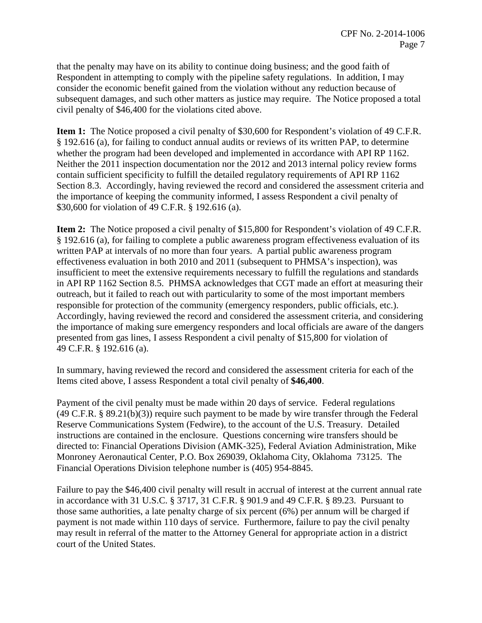that the penalty may have on its ability to continue doing business; and the good faith of Respondent in attempting to comply with the pipeline safety regulations. In addition, I may consider the economic benefit gained from the violation without any reduction because of subsequent damages, and such other matters as justice may require. The Notice proposed a total civil penalty of \$46,400 for the violations cited above.

**Item 1:** The Notice proposed a civil penalty of \$30,600 for Respondent's violation of 49 C.F.R. § 192.616 (a), for failing to conduct annual audits or reviews of its written PAP, to determine whether the program had been developed and implemented in accordance with API RP 1162. Neither the 2011 inspection documentation nor the 2012 and 2013 internal policy review forms contain sufficient specificity to fulfill the detailed regulatory requirements of API RP 1162 Section 8.3. Accordingly, having reviewed the record and considered the assessment criteria and the importance of keeping the community informed, I assess Respondent a civil penalty of \$30,600 for violation of 49 C.F.R. § 192.616 (a).

**Item 2:** The Notice proposed a civil penalty of \$15,800 for Respondent's violation of 49 C.F.R. § 192.616 (a), for failing to complete a public awareness program effectiveness evaluation of its written PAP at intervals of no more than four years. A partial public awareness program effectiveness evaluation in both 2010 and 2011 (subsequent to PHMSA's inspection), was insufficient to meet the extensive requirements necessary to fulfill the regulations and standards in API RP 1162 Section 8.5. PHMSA acknowledges that CGT made an effort at measuring their outreach, but it failed to reach out with particularity to some of the most important members responsible for protection of the community (emergency responders, public officials, etc.). Accordingly, having reviewed the record and considered the assessment criteria, and considering the importance of making sure emergency responders and local officials are aware of the dangers presented from gas lines, I assess Respondent a civil penalty of \$15,800 for violation of 49 C.F.R. § 192.616 (a).

In summary, having reviewed the record and considered the assessment criteria for each of the Items cited above, I assess Respondent a total civil penalty of **\$46,400**.

Payment of the civil penalty must be made within 20 days of service. Federal regulations (49 C.F.R. § 89.21(b)(3)) require such payment to be made by wire transfer through the Federal Reserve Communications System (Fedwire), to the account of the U.S. Treasury. Detailed instructions are contained in the enclosure. Questions concerning wire transfers should be directed to: Financial Operations Division (AMK-325), Federal Aviation Administration, Mike Monroney Aeronautical Center, P.O. Box 269039, Oklahoma City, Oklahoma 73125. The Financial Operations Division telephone number is (405) 954-8845.

Failure to pay the \$46,400 civil penalty will result in accrual of interest at the current annual rate in accordance with 31 U.S.C. § 3717, 31 C.F.R. § 901.9 and 49 C.F.R. § 89.23. Pursuant to those same authorities, a late penalty charge of six percent (6%) per annum will be charged if payment is not made within 110 days of service. Furthermore, failure to pay the civil penalty may result in referral of the matter to the Attorney General for appropriate action in a district court of the United States.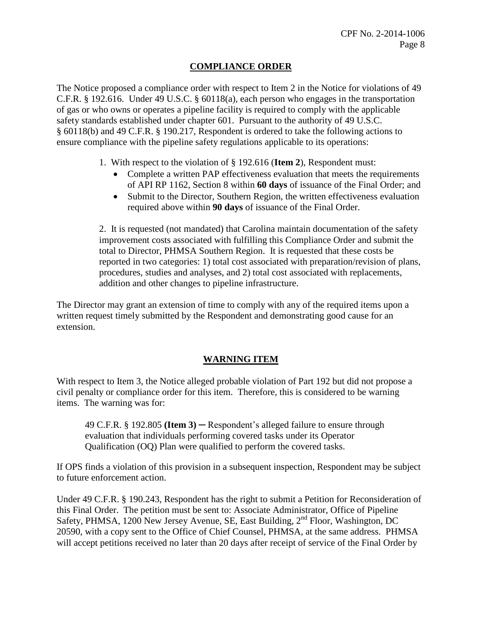## **COMPLIANCE ORDER**

The Notice proposed a compliance order with respect to Item 2 in the Notice for violations of 49 C.F.R. § 192.616. Under 49 U.S.C. § 60118(a), each person who engages in the transportation of gas or who owns or operates a pipeline facility is required to comply with the applicable safety standards established under chapter 601. Pursuant to the authority of 49 U.S.C. § 60118(b) and 49 C.F.R. § 190.217, Respondent is ordered to take the following actions to ensure compliance with the pipeline safety regulations applicable to its operations:

- 1. With respect to the violation of § 192.616 (**Item 2**), Respondent must:
	- Complete a written PAP effectiveness evaluation that meets the requirements of API RP 1162, Section 8 within **60 days** of issuance of the Final Order; and
	- Submit to the Director, Southern Region, the written effectiveness evaluation required above within **90 days** of issuance of the Final Order.

2. It is requested (not mandated) that Carolina maintain documentation of the safety improvement costs associated with fulfilling this Compliance Order and submit the total to Director, PHMSA Southern Region. It is requested that these costs be reported in two categories: 1) total cost associated with preparation/revision of plans, procedures, studies and analyses, and 2) total cost associated with replacements, addition and other changes to pipeline infrastructure.

The Director may grant an extension of time to comply with any of the required items upon a written request timely submitted by the Respondent and demonstrating good cause for an extension.

## **WARNING ITEM**

With respect to Item 3, the Notice alleged probable violation of Part 192 but did not propose a civil penalty or compliance order for this item. Therefore, this is considered to be warning items. The warning was for:

49 C.F.R. § 192.805 **(Item 3)** ─ Respondent's alleged failure to ensure through evaluation that individuals performing covered tasks under its Operator Qualification (OQ) Plan were qualified to perform the covered tasks.

If OPS finds a violation of this provision in a subsequent inspection, Respondent may be subject to future enforcement action.

Under 49 C.F.R. § 190.243, Respondent has the right to submit a Petition for Reconsideration of this Final Order. The petition must be sent to: Associate Administrator, Office of Pipeline Safety, PHMSA, 1200 New Jersey Avenue, SE, East Building, 2<sup>nd</sup> Floor, Washington, DC 20590, with a copy sent to the Office of Chief Counsel, PHMSA, at the same address. PHMSA will accept petitions received no later than 20 days after receipt of service of the Final Order by